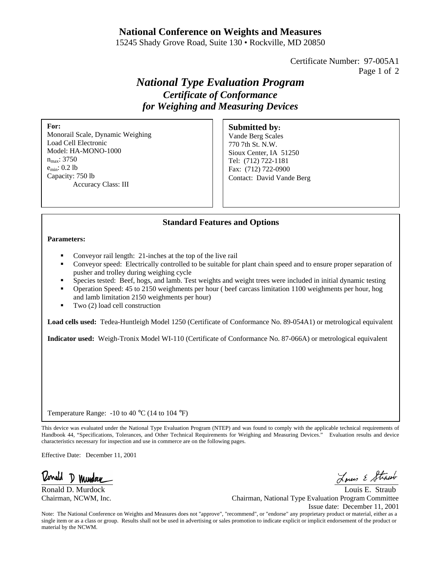## **National Conference on Weights and Measures**

15245 Shady Grove Road, Suite 130 • Rockville, MD 20850

Certificate Number: 97-005A1 Page 1 of 2

# *National Type Evaluation Program Certificate of Conformance for Weighing and Measuring Devices*

**For:**

Monorail Scale, Dynamic Weighing Load Cell Electronic Model: HA-MONO-1000  $n_{\rm max}$ : 3750 emin: 0.2 lb Capacity: 750 lb Accuracy Class: III

#### **Submitted by:**

Vande Berg Scales 770 7th St. N.W. Sioux Center, IA 51250 Tel: (712) 722-1181 Fax: (712) 722-0900 Contact: David Vande Berg

### **Standard Features and Options**

**Parameters:**

- ß Conveyor rail length: 21-inches at the top of the live rail
- ß Conveyor speed: Electrically controlled to be suitable for plant chain speed and to ensure proper separation of pusher and trolley during weighing cycle
- ß Species tested: Beef, hogs, and lamb. Test weights and weight trees were included in initial dynamic testing
- ß Operation Speed: 45 to 2150 weighments per hour ( beef carcass limitation 1100 weighments per hour, hog and lamb limitation 2150 weighments per hour)
- Two (2) load cell construction

**Load cells used:** Tedea-Huntleigh Model 1250 (Certificate of Conformance No. 89-054A1) or metrological equivalent

**Indicator used:** Weigh-Tronix Model WI-110 (Certificate of Conformance No. 87-066A) or metrological equivalent

Temperature Range: -10 to 40 °C (14 to 104 °F)

This device was evaluated under the National Type Evaluation Program (NTEP) and was found to comply with the applicable technical requirements of Handbook 44, "Specifications, Tolerances, and Other Technical Requirements for Weighing and Measuring Devices." Evaluation results and device characteristics necessary for inspection and use in commerce are on the following pages.

Effective Date: December 11, 2001

Donald D Mundou

Ronald D. Murdock Louis E. Straub Chairman, NCWM, Inc. Chairman, National Type Evaluation Program Committee Issue date: December 11, 2001

Note: The National Conference on Weights and Measures does not "approve", "recommend", or "endorse" any proprietary product or material, either as a single item or as a class or group. Results shall not be used in advertising or sales promotion to indicate explicit or implicit endorsement of the product or material by the NCWM.

Louis & Strawb